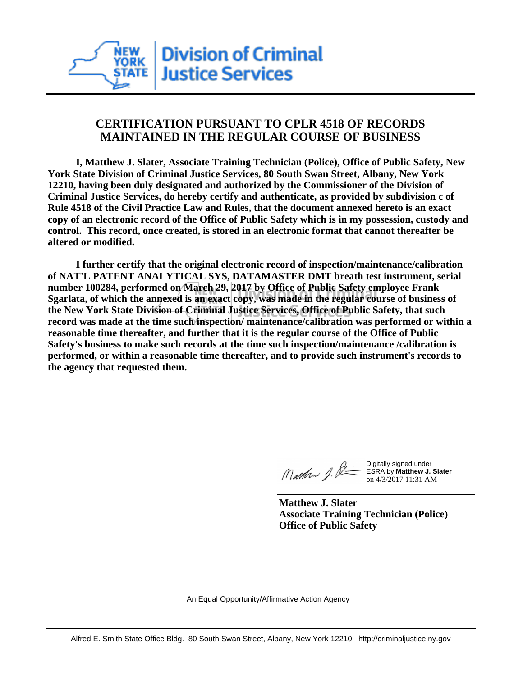# **CERTIFICATION PURSUANT TO CPLR 4518 OF RECORDS MAINTAINED IN THE REGULAR COURSE OF BUSINESS**

 **I, Matthew J. Slater, Associate Training Technician (Police), Office of Public Safety, New York State Division of Criminal Justice Services, 80 South Swan Street, Albany, New York 12210, having been duly designated and authorized by the Commissioner of the Division of Criminal Justice Services, do hereby certify and authenticate, as provided by subdivision c of Rule 4518 of the Civil Practice Law and Rules, that the document annexed hereto is an exact copy of an electronic record of the Office of Public Safety which is in my possession, custody and control. This record, once created, is stored in an electronic format that cannot thereafter be altered or modified.**

 **I further certify that the original electronic record of inspection/maintenance/calibration of NAT'L PATENT ANALYTICAL SYS, DATAMASTER DMT breath test instrument, serial number 100284, performed on March 29, 2017 by Office of Public Safety employee Frank Sgarlata, of which the annexed is an exact copy, was made in the regular course of business of the New York State Division of Criminal Justice Services, Office of Public Safety, that such record was made at the time such inspection/ maintenance/calibration was performed or within a reasonable time thereafter, and further that it is the regular course of the Office of Public Safety's business to make such records at the time such inspection/maintenance /calibration is performed, or within a reasonable time thereafter, and to provide such instrument's records to the agency that requested them.**

Marthan J. P=

Digitally signed under ESRA by **Matthew J. Slater** on 4/3/2017 11:31 AM

**Matthew J. Slater Associate Training Technician (Police) Office of Public Safety**

An Equal Opportunity/Affirmative Action Agency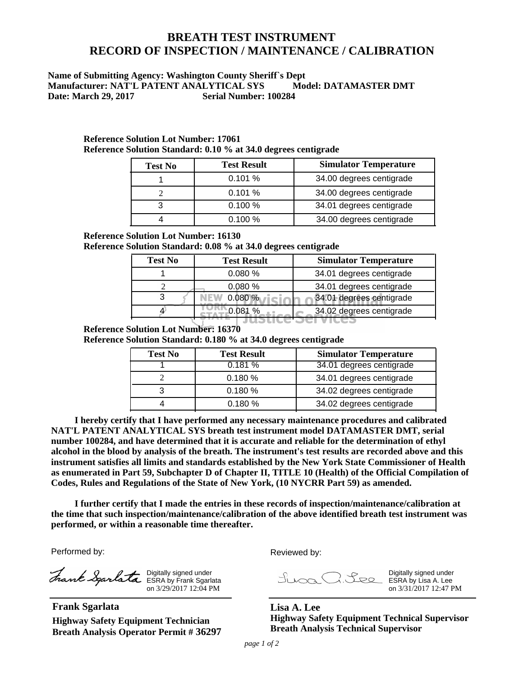## **BREATH TEST INSTRUMENT RECORD OF INSPECTION / MAINTENANCE / CALIBRATION**

### **Name of Submitting Agency: Washington County Sheriff`s Dept Manufacturer: NAT'L PATENT ANALYTICAL SYS Model: DATAMASTER DMT Date: March 29, 2017 Serial Number: 100284**

| <b>Test No</b> | <b>Test Result</b> | <b>Simulator Temperature</b> |
|----------------|--------------------|------------------------------|
|                | 0.101%             | 34.00 degrees centigrade     |
|                | 0.101%             | 34.00 degrees centigrade     |
|                | 0.100%             | 34.01 degrees centigrade     |
|                | $0.100 \%$         | 34.00 degrees centigrade     |

#### **Reference Solution Lot Number: 17061 Reference Solution Standard: 0.10 % at 34.0 degrees centigrade**

#### **Reference Solution Lot Number: 16130**

**Reference Solution Standard: 0.08 % at 34.0 degrees centigrade**

| <b>Test No</b> | <b>Test Result</b> | <b>Simulator Temperature</b> |
|----------------|--------------------|------------------------------|
|                | 0.080%             | 34.01 degrees centigrade     |
|                | 0.080%             | 34.01 degrees centigrade     |
|                | 0.080%             | 34.01 degrees centigrade     |
|                |                    | 34.02 degrees centigrade     |
|                |                    |                              |

### **Reference Solution Lot Number: 16370**

**Reference Solution Standard: 0.180 % at 34.0 degrees centigrade**

| <b>Test No</b> | <b>Test Result</b> | <b>Simulator Temperature</b> |
|----------------|--------------------|------------------------------|
|                | 0.181%             | 34.01 degrees centigrade     |
|                | 0.180%             | 34.01 degrees centigrade     |
|                | 0.180%             | 34.02 degrees centigrade     |
|                | 0.180%             | 34.02 degrees centigrade     |

 **I hereby certify that I have performed any necessary maintenance procedures and calibrated NAT'L PATENT ANALYTICAL SYS breath test instrument model DATAMASTER DMT, serial number 100284, and have determined that it is accurate and reliable for the determination of ethyl alcohol in the blood by analysis of the breath. The instrument's test results are recorded above and this instrument satisfies all limits and standards established by the New York State Commissioner of Health as enumerated in Part 59, Subchapter D of Chapter II, TITLE 10 (Health) of the Official Compilation of Codes, Rules and Regulations of the State of New York, (10 NYCRR Part 59) as amended.**

 **I further certify that I made the entries in these records of inspection/maintenance/calibration at the time that such inspection/maintenance/calibration of the above identified breath test instrument was performed, or within a reasonable time thereafter.**

Performed by:

Digitally signed under ESRA by Frank Sgarlata on 3/29/2017 12:04 PM

**Frank Sgarlata Highway Safety Equipment Technician Breath Analysis Operator Permit # 36297** Reviewed by:

Digitally signed under ESRA by Lisa A. Lee on 3/31/2017 12:47 PM

**Lisa A. Lee Highway Safety Equipment Technical Supervisor Breath Analysis Technical Supervisor**